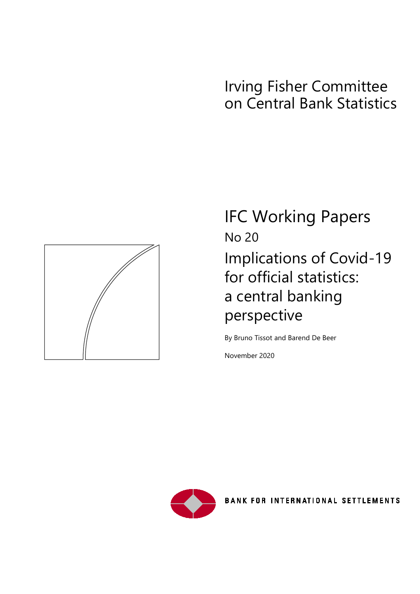# Irving Fisher Committee on Central Bank Statistics



IFC Working Papers No 20 Implications of Covid-19 for official statistics: a central banking perspective

By Bruno Tissot and Barend De Beer

November 2020



**BANK FOR INTERNATIONAL SETTLEMENTS**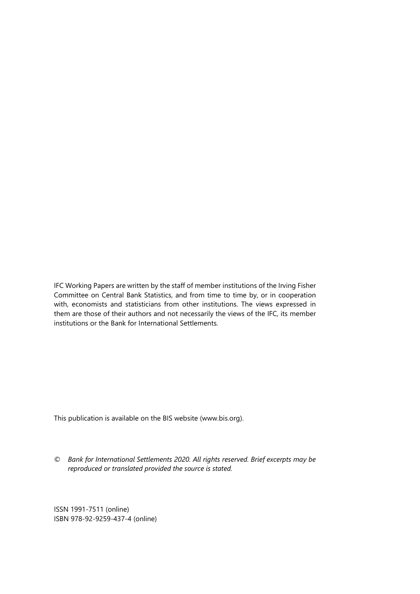IFC Working Papers are written by the staff of member institutions of the Irving Fisher Committee on Central Bank Statistics, and from time to time by, or in cooperation with, economists and statisticians from other institutions. The views expressed in them are those of their authors and not necessarily the views of the IFC, its member institutions or the Bank for International Settlements.

This publication is available on the BIS website [\(www.bis.org\)](http://www.bis.org/).

*© Bank for International Settlements 2020. All rights reserved. Brief excerpts may be reproduced or translated provided the source is stated.*

ISSN 1991-7511 (online) ISBN 978-92-9259-437-4 (online)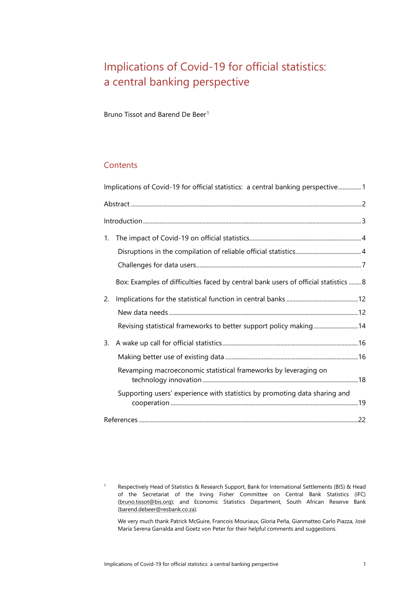## <span id="page-2-0"></span>Implications of Covid-19 for official statistics: a central banking perspective

Bruno Tissot and Barend De Beer<sup>[1](#page-2-1)</sup>

#### **Contents**

|    | Implications of Covid-19 for official statistics: a central banking perspective1    |  |
|----|-------------------------------------------------------------------------------------|--|
|    |                                                                                     |  |
|    |                                                                                     |  |
| 1. |                                                                                     |  |
|    |                                                                                     |  |
|    |                                                                                     |  |
|    | Box: Examples of difficulties faced by central bank users of official statistics  8 |  |
| 2. |                                                                                     |  |
|    |                                                                                     |  |
|    | Revising statistical frameworks to better support policy making14                   |  |
| 3. |                                                                                     |  |
|    |                                                                                     |  |
|    | Revamping macroeconomic statistical frameworks by leveraging on                     |  |
|    | Supporting users' experience with statistics by promoting data sharing and          |  |
|    |                                                                                     |  |

<span id="page-2-1"></span><sup>1</sup> Respectively Head of Statistics & Research Support, Bank for International Settlements (BIS) & Head of the Secretariat of the Irving Fisher Committee on Central Bank Statistics (IFC) [\(bruno.tissot@bis.org\)](mailto:bruno.tissot@bis.org); and Economic Statistics Department, South African Reserve Bank [\(barend.debeer@resbank.co.za\)](mailto:barend.debeer@resbank.co.za).

We very much thank Patrick McGuire, Francois Mouriaux, Gloria Peña, Gianmatteo Carlo Piazza, José María Serena Garralda and Goetz von Peter for their helpful comments and suggestions.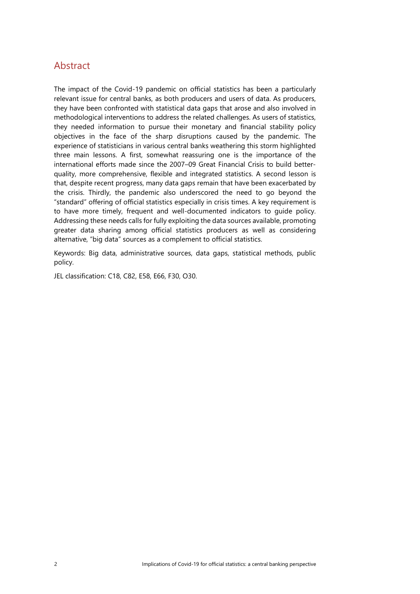### <span id="page-3-0"></span>**Abstract**

The impact of the Covid-19 pandemic on official statistics has been a particularly relevant issue for central banks, as both producers and users of data. As producers, they have been confronted with statistical data gaps that arose and also involved in methodological interventions to address the related challenges. As users of statistics, they needed information to pursue their monetary and financial stability policy objectives in the face of the sharp disruptions caused by the pandemic. The experience of statisticians in various central banks weathering this storm highlighted three main lessons. A first, somewhat reassuring one is the importance of the international efforts made since the 2007–09 Great Financial Crisis to build betterquality, more comprehensive, flexible and integrated statistics. A second lesson is that, despite recent progress, many data gaps remain that have been exacerbated by the crisis. Thirdly, the pandemic also underscored the need to go beyond the "standard" offering of official statistics especially in crisis times. A key requirement is to have more timely, frequent and well-documented indicators to guide policy. Addressing these needs calls for fully exploiting the data sources available, promoting greater data sharing among official statistics producers as well as considering alternative, "big data" sources as a complement to official statistics.

Keywords: Big data, administrative sources, data gaps, statistical methods, public policy.

<span id="page-3-1"></span>JEL classification: C18, C82, E58, E66, F30, O30.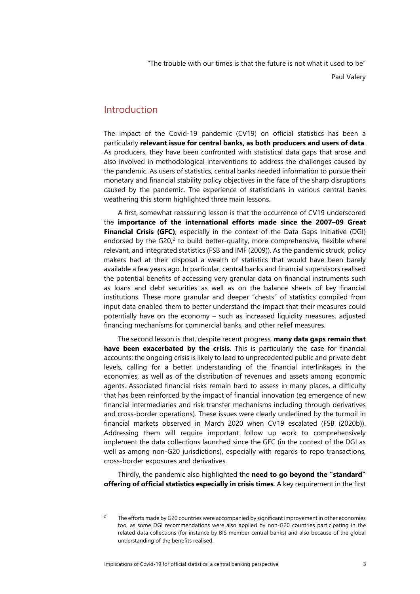"The trouble with our times is that the future is not what it used to be" Paul Valery

### Introduction

The impact of the Covid-19 pandemic (CV19) on official statistics has been a particularly **relevant issue for central banks, as both producers and users of data**. As producers, they have been confronted with statistical data gaps that arose and also involved in methodological interventions to address the challenges caused by the pandemic. As users of statistics, central banks needed information to pursue their monetary and financial stability policy objectives in the face of the sharp disruptions caused by the pandemic. The experience of statisticians in various central banks weathering this storm highlighted three main lessons.

A first, somewhat reassuring lesson is that the occurrence of CV19 underscored the **importance of the international efforts made since the 2007–09 Great Financial Crisis (GFC)**, especially in the context of the Data Gaps Initiative (DGI) endorsed by the G[2](#page-4-0)0, $^2$  to build better-quality, more comprehensive, flexible where relevant, and integrated statistics (FSB and IMF (2009)). As the pandemic struck, policy makers had at their disposal a wealth of statistics that would have been barely available a few years ago. In particular, central banks and financial supervisors realised the potential benefits of accessing very granular data on financial instruments such as loans and debt securities as well as on the balance sheets of key financial institutions. These more granular and deeper "chests" of statistics compiled from input data enabled them to better understand the impact that their measures could potentially have on the economy – such as increased liquidity measures, adjusted financing mechanisms for commercial banks, and other relief measures.

The second lesson is that, despite recent progress, **many data gaps remain that have been exacerbated by the crisis**. This is particularly the case for financial accounts: the ongoing crisis is likely to lead to unprecedented public and private debt levels, calling for a better understanding of the financial interlinkages in the economies, as well as of the distribution of revenues and assets among economic agents. Associated financial risks remain hard to assess in many places, a difficulty that has been reinforced by the impact of financial innovation (eg emergence of new financial intermediaries and risk transfer mechanisms including through derivatives and cross-border operations). These issues were clearly underlined by the turmoil in financial markets observed in March 2020 when CV19 escalated (FSB (2020b)). Addressing them will require important follow up work to comprehensively implement the data collections launched since the GFC (in the context of the DGI as well as among non-G20 jurisdictions), especially with regards to repo transactions, cross-border exposures and derivatives.

Thirdly, the pandemic also highlighted the **need to go beyond the "standard" offering of official statistics especially in crisis times**. A key requirement in the first

<span id="page-4-0"></span><sup>&</sup>lt;sup>2</sup> The efforts made by G20 countries were accompanied by significant improvement in other economies too, as some DGI recommendations were also applied by non-G20 countries participating in the related data collections (for instance by BIS member central banks) and also because of the global understanding of the benefits realised.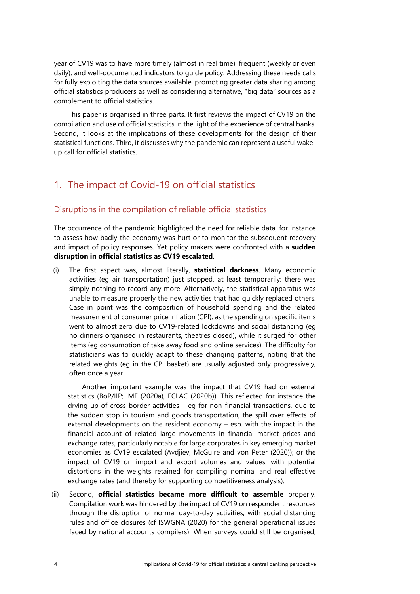year of CV19 was to have more timely (almost in real time), frequent (weekly or even daily), and well-documented indicators to guide policy. Addressing these needs calls for fully exploiting the data sources available, promoting greater data sharing among official statistics producers as well as considering alternative, "big data" sources as a complement to official statistics.

This paper is organised in three parts. It first reviews the impact of CV19 on the compilation and use of official statistics in the light of the experience of central banks. Second, it looks at the implications of these developments for the design of their statistical functions. Third, it discusses why the pandemic can represent a useful wakeup call for official statistics.

### <span id="page-5-0"></span>1. The impact of Covid-19 on official statistics

#### <span id="page-5-1"></span>Disruptions in the compilation of reliable official statistics

The occurrence of the pandemic highlighted the need for reliable data, for instance to assess how badly the economy was hurt or to monitor the subsequent recovery and impact of policy responses. Yet policy makers were confronted with a **sudden disruption in official statistics as CV19 escalated**.

(i) The first aspect was, almost literally, **statistical darkness**. Many economic activities (eg air transportation) just stopped, at least temporarily: there was simply nothing to record any more. Alternatively, the statistical apparatus was unable to measure properly the new activities that had quickly replaced others. Case in point was the composition of household spending and the related measurement of consumer price inflation (CPI), as the spending on specific items went to almost zero due to CV19-related lockdowns and social distancing (eg no dinners organised in restaurants, theatres closed), while it surged for other items (eg consumption of take away food and online services). The difficulty for statisticians was to quickly adapt to these changing patterns, noting that the related weights (eg in the CPI basket) are usually adjusted only progressively, often once a year.

Another important example was the impact that CV19 had on external statistics (BoP/IIP; IMF (2020a), ECLAC (2020b)). This reflected for instance the drying up of cross-border activities – eg for non-financial transactions, due to the sudden stop in tourism and goods transportation; the spill over effects of external developments on the resident economy – esp. with the impact in the financial account of related large movements in financial market prices and exchange rates, particularly notable for large corporates in key emerging market economies as CV19 escalated (Avdjiev, McGuire and von Peter (2020)); or the impact of CV19 on import and export volumes and values, with potential distortions in the weights retained for compiling nominal and real effective exchange rates (and thereby for supporting competitiveness analysis).

(ii) Second, **official statistics became more difficult to assemble** properly. Compilation work was hindered by the impact of CV19 on respondent resources through the disruption of normal day-to-day activities, with social distancing rules and office closures (cf ISWGNA (2020) for the general operational issues faced by national accounts compilers). When surveys could still be organised,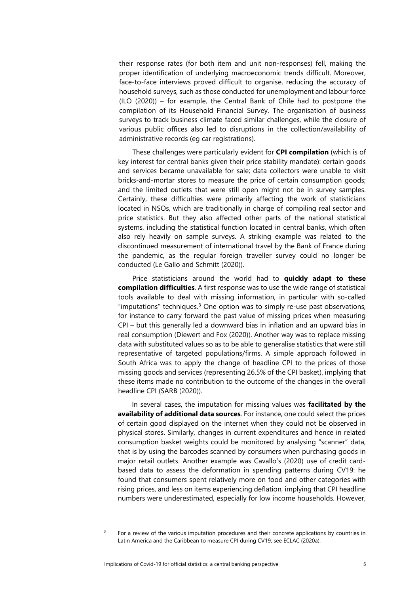their response rates (for both item and unit non-responses) fell, making the proper identification of underlying macroeconomic trends difficult. Moreover, face-to-face interviews proved difficult to organise, reducing the accuracy of household surveys, such as those conducted for unemployment and labour force (ILO (2020)) – for example, the Central Bank of Chile had to postpone the compilation of its Household Financial Survey. The organisation of business surveys to track business climate faced similar challenges, while the closure of various public offices also led to disruptions in the collection/availability of administrative records (eg car registrations).

These challenges were particularly evident for **CPI compilation** (which is of key interest for central banks given their price stability mandate): certain goods and services became unavailable for sale; data collectors were unable to visit bricks-and-mortar stores to measure the price of certain consumption goods; and the limited outlets that were still open might not be in survey samples. Certainly, these difficulties were primarily affecting the work of statisticians located in NSOs, which are traditionally in charge of compiling real sector and price statistics. But they also affected other parts of the national statistical systems, including the statistical function located in central banks, which often also rely heavily on sample surveys. A striking example was related to the discontinued measurement of international travel by the Bank of France during the pandemic, as the regular foreign traveller survey could no longer be conducted (Le Gallo and Schmitt (2020)).

Price statisticians around the world had to **quickly adapt to these compilation difficulties**. A first response was to use the wide range of statistical tools available to deal with missing information, in particular with so-called "imputations" techniques. $3$  One option was to simply re-use past observations, for instance to carry forward the past value of missing prices when measuring CPI – but this generally led a downward bias in inflation and an upward bias in real consumption (Diewert and Fox (2020)). Another way was to replace missing data with substituted values so as to be able to generalise statistics that were still representative of targeted populations/firms. A simple approach followed in South Africa was to apply the change of headline CPI to the prices of those missing goods and services (representing 26.5% of the CPI basket), implying that these items made no contribution to the outcome of the changes in the overall headline CPI (SARB (2020)).

In several cases, the imputation for missing values was **facilitated by the availability of additional data sources**. For instance, one could select the prices of certain good displayed on the internet when they could not be observed in physical stores. Similarly, changes in current expenditures and hence in related consumption basket weights could be monitored by analysing "scanner" data, that is by using the barcodes scanned by consumers when purchasing goods in major retail outlets. Another example was Cavallo's (2020) use of credit cardbased data to assess the deformation in spending patterns during CV19: he found that consumers spent relatively more on food and other categories with rising prices, and less on items experiencing deflation, implying that CPI headline numbers were underestimated, especially for low income households. However,

<span id="page-6-0"></span> $3$  For a review of the various imputation procedures and their concrete applications by countries in Latin America and the Caribbean to measure CPI during CV19, see ECLAC (2020a).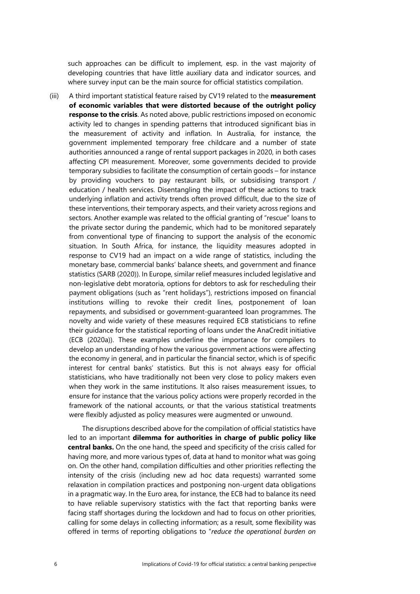such approaches can be difficult to implement, esp. in the vast majority of developing countries that have little auxiliary data and indicator sources, and where survey input can be the main source for official statistics compilation.

(iii) A third important statistical feature raised by CV19 related to the **measurement of economic variables that were distorted because of the outright policy response to the crisis**. As noted above, public restrictions imposed on economic activity led to changes in spending patterns that introduced significant bias in the measurement of activity and inflation. In Australia, for instance, the government implemented temporary free childcare and a number of state authorities announced a range of rental support packages in 2020, in both cases affecting CPI measurement. Moreover, some governments decided to provide temporary subsidies to facilitate the consumption of certain goods – for instance by providing vouchers to pay restaurant bills, or subsidising transport / education / health services. Disentangling the impact of these actions to track underlying inflation and activity trends often proved difficult, due to the size of these interventions, their temporary aspects, and their variety across regions and sectors. Another example was related to the official granting of "rescue" loans to the private sector during the pandemic, which had to be monitored separately from conventional type of financing to support the analysis of the economic situation. In South Africa, for instance, the liquidity measures adopted in response to CV19 had an impact on a wide range of statistics, including the monetary base, commercial banks' balance sheets, and government and finance statistics (SARB (2020)). In Europe, similar relief measures included legislative and non-legislative debt moratoria, options for debtors to ask for rescheduling their payment obligations (such as "rent holidays"), restrictions imposed on financial institutions willing to revoke their credit lines, postponement of loan repayments, and subsidised or government-guaranteed loan programmes. The novelty and wide variety of these measures required ECB statisticians to refine their guidance for the statistical reporting of loans under the AnaCredit initiative (ECB (2020a)). These examples underline the importance for compilers to develop an understanding of how the various government actions were affecting the economy in general, and in particular the financial sector, which is of specific interest for central banks' statistics. But this is not always easy for official statisticians, who have traditionally not been very close to policy makers even when they work in the same institutions. It also raises measurement issues, to ensure for instance that the various policy actions were properly recorded in the framework of the national accounts, or that the various statistical treatments were flexibly adjusted as policy measures were augmented or unwound.

The disruptions described above for the compilation of official statistics have led to an important **dilemma for authorities in charge of public policy like central banks.** On the one hand, the speed and specificity of the crisis called for having more, and more various types of, data at hand to monitor what was going on. On the other hand, compilation difficulties and other priorities reflecting the intensity of the crisis (including new ad hoc data requests) warranted some relaxation in compilation practices and postponing non-urgent data obligations in a pragmatic way. In the Euro area, for instance, the ECB had to balance its need to have reliable supervisory statistics with the fact that reporting banks were facing staff shortages during the lockdown and had to focus on other priorities, calling for some delays in collecting information; as a result, some flexibility was offered in terms of reporting obligations to "*reduce the operational burden on*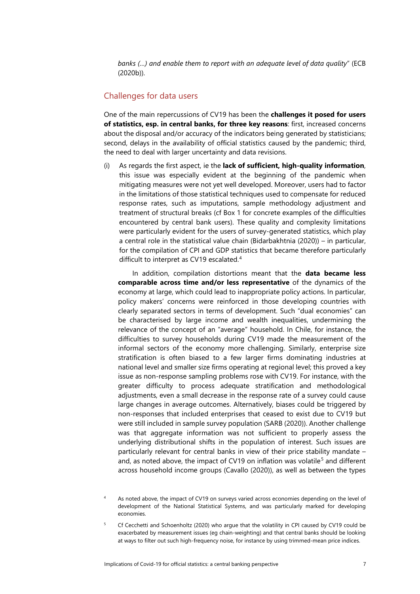*banks (…) and enable them to report with an adequate level of data quality*" (ECB (2020b)).

#### <span id="page-8-0"></span>Challenges for data users

One of the main repercussions of CV19 has been the **challenges it posed for users of statistics, esp. in central banks, for three key reasons**: first, increased concerns about the disposal and/or accuracy of the indicators being generated by statisticians; second, delays in the availability of official statistics caused by the pandemic; third, the need to deal with larger uncertainty and data revisions.

(i) As regards the first aspect, ie the **lack of sufficient, high-quality information**, this issue was especially evident at the beginning of the pandemic when mitigating measures were not yet well developed. Moreover, users had to factor in the limitations of those statistical techniques used to compensate for reduced response rates, such as imputations, sample methodology adjustment and treatment of structural breaks (cf Box 1 for concrete examples of the difficulties encountered by central bank users). These quality and complexity limitations were particularly evident for the users of survey-generated statistics, which play a central role in the statistical value chain (Bidarbakhtnia (2020)) – in particular, for the compilation of CPI and GDP statistics that became therefore particularly difficult to interpret as CV19 escalated.<sup>[4](#page-8-1)</sup>

In addition, compilation distortions meant that the **data became less comparable across time and/or less representative** of the dynamics of the economy at large, which could lead to inappropriate policy actions. In particular, policy makers' concerns were reinforced in those developing countries with clearly separated sectors in terms of development. Such "dual economies" can be characterised by large income and wealth inequalities, undermining the relevance of the concept of an "average" household. In Chile, for instance, the difficulties to survey households during CV19 made the measurement of the informal sectors of the economy more challenging. Similarly, enterprise size stratification is often biased to a few larger firms dominating industries at national level and smaller size firms operating at regional level; this proved a key issue as non-response sampling problems rose with CV19. For instance, with the greater difficulty to process adequate stratification and methodological adjustments, even a small decrease in the response rate of a survey could cause large changes in average outcomes. Alternatively, biases could be triggered by non-responses that included enterprises that ceased to exist due to CV19 but were still included in sample survey population (SARB (2020)). Another challenge was that aggregate information was not sufficient to properly assess the underlying distributional shifts in the population of interest. Such issues are particularly relevant for central banks in view of their price stability mandate – and, as noted above, the impact of CV19 on inflation was volatile<sup>[5](#page-8-2)</sup> and different across household income groups (Cavallo (2020)), as well as between the types

- <span id="page-8-1"></span><sup>4</sup> As noted above, the impact of CV19 on surveys varied across economies depending on the level of development of the National Statistical Systems, and was particularly marked for developing economies.
- <span id="page-8-2"></span><sup>5</sup> Cf Cecchetti and Schoenholtz (2020) who argue that the volatility in CPI caused by CV19 could be exacerbated by measurement issues (eg chain-weighting) and that central banks should be looking at ways to filter out such high-frequency noise, for instance by using trimmed-mean price indices.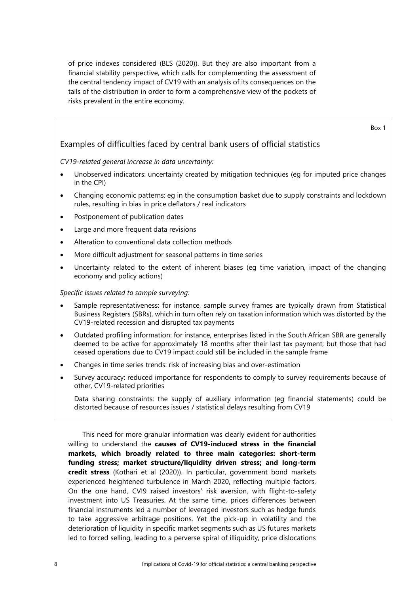of price indexes considered (BLS (2020)). But they are also important from a financial stability perspective, which calls for complementing the assessment of the central tendency impact of CV19 with an analysis of its consequences on the tails of the distribution in order to form a comprehensive view of the pockets of risks prevalent in the entire economy.

Box 1

#### <span id="page-9-0"></span>Examples of difficulties faced by central bank users of official statistics

#### *CV19-related general increase in data uncertainty:*

- Unobserved indicators: uncertainty created by mitigation techniques (eg for imputed price changes in the CPI)
- Changing economic patterns: eg in the consumption basket due to supply constraints and lockdown rules, resulting in bias in price deflators / real indicators
- Postponement of publication dates
- Large and more frequent data revisions
- Alteration to conventional data collection methods
- More difficult adjustment for seasonal patterns in time series
- Uncertainty related to the extent of inherent biases (eg time variation, impact of the changing economy and policy actions)

*Specific issues related to sample surveying:*

- Sample representativeness: for instance, sample survey frames are typically drawn from Statistical Business Registers (SBRs), which in turn often rely on taxation information which was distorted by the CV19-related recession and disrupted tax payments
- Outdated profiling information: for instance, enterprises listed in the South African SBR are generally deemed to be active for approximately 18 months after their last tax payment; but those that had ceased operations due to CV19 impact could still be included in the sample frame
- Changes in time series trends: risk of increasing bias and over-estimation
- Survey accuracy: reduced importance for respondents to comply to survey requirements because of other, CV19-related priorities

Data sharing constraints: the supply of auxiliary information (eq financial statements) could be distorted because of resources issues / statistical delays resulting from CV19

This need for more granular information was clearly evident for authorities willing to understand the **causes of CV19-induced stress in the financial markets, which broadly related to three main categories: short-term funding stress; market structure/liquidity driven stress; and long-term credit stress** (Kothari et al (2020)). In particular, government bond markets experienced heightened turbulence in March 2020, reflecting multiple factors. On the one hand, CVI9 raised investors' risk aversion, with flight-to-safety investment into US Treasuries. At the same time, prices differences between financial instruments led a number of leveraged investors such as hedge funds to take aggressive arbitrage positions. Yet the pick-up in volatility and the deterioration of liquidity in specific market segments such as US futures markets led to forced selling, leading to a perverse spiral of illiquidity, price dislocations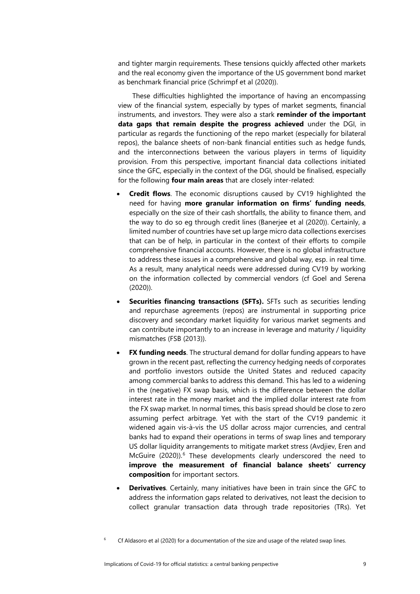and tighter margin requirements. These tensions quickly affected other markets and the real economy given the importance of the US government bond market as benchmark financial price (Schrimpf et al (2020)).

These difficulties highlighted the importance of having an encompassing view of the financial system, especially by types of market segments, financial instruments, and investors. They were also a stark **reminder of the important data gaps that remain despite the progress achieved** under the DGI, in particular as regards the functioning of the repo market (especially for bilateral repos), the balance sheets of non-bank financial entities such as hedge funds, and the interconnections between the various players in terms of liquidity provision. From this perspective, important financial data collections initiated since the GFC, especially in the context of the DGI, should be finalised, especially for the following **four main areas** that are closely inter-related:

- **Credit flows**. The economic disruptions caused by CV19 highlighted the need for having **more granular information on firms' funding needs**, especially on the size of their cash shortfalls, the ability to finance them, and the way to do so eg through credit lines (Banerjee et al (2020)). Certainly, a limited number of countries have set up large micro data collections exercises that can be of help, in particular in the context of their efforts to compile comprehensive financial accounts. However, there is no global infrastructure to address these issues in a comprehensive and global way, esp. in real time. As a result, many analytical needs were addressed during CV19 by working on the information collected by commercial vendors (cf Goel and Serena (2020)).
- **Securities financing transactions (SFTs).** SFTs such as securities lending and repurchase agreements (repos) are instrumental in supporting price discovery and secondary market liquidity for various market segments and can contribute importantly to an increase in leverage and maturity / liquidity mismatches (FSB (2013)).
- **FX funding needs**. The structural demand for dollar funding appears to have grown in the recent past, reflecting the currency hedging needs of corporates and portfolio investors outside the United States and reduced capacity among commercial banks to address this demand. This has led to a widening in the (negative) FX swap basis, which is the difference between the dollar interest rate in the money market and the implied dollar interest rate from the FX swap market. In normal times, this basis spread should be close to zero assuming perfect arbitrage. Yet with the start of the CV19 pandemic it widened again vis-à-vis the US dollar across major currencies, and central banks had to expand their operations in terms of swap lines and temporary US dollar liquidity arrangements to mitigate market stress (Avdjiev, Eren and McGuire (2020)). [6](#page-10-0) These developments clearly underscored the need to **improve the measurement of financial balance sheets' currency composition** for important sectors.
- **Derivatives**. Certainly, many initiatives have been in train since the GFC to address the information gaps related to derivatives, not least the decision to collect granular transaction data through trade repositories (TRs). Yet

<span id="page-10-0"></span><sup>6</sup> Cf Aldasoro et al (2020) for a documentation of the size and usage of the related swap lines.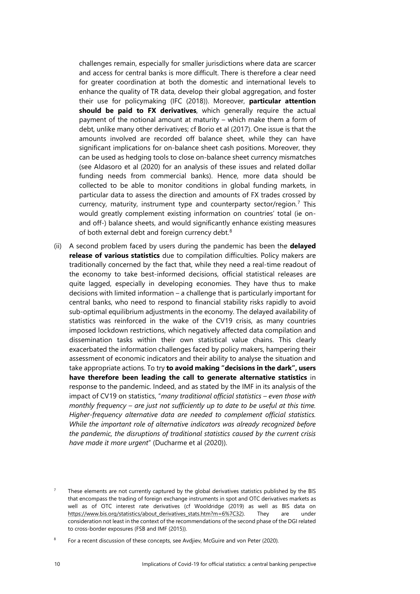challenges remain, especially for smaller jurisdictions where data are scarcer and access for central banks is more difficult. There is therefore a clear need for greater coordination at both the domestic and international levels to enhance the quality of TR data, develop their global aggregation, and foster their use for policymaking (IFC (2018)). Moreover, **particular attention should be paid to FX derivatives**, which generally require the actual payment of the notional amount at maturity – which make them a form of debt, unlike many other derivatives; cf Borio et al (2017). One issue is that the amounts involved are recorded off balance sheet, while they can have significant implications for on-balance sheet cash positions. Moreover, they can be used as hedging tools to close on-balance sheet currency mismatches (see Aldasoro et al (2020) for an analysis of these issues and related dollar funding needs from commercial banks). Hence, more data should be collected to be able to monitor conditions in global funding markets, in particular data to assess the direction and amounts of FX trades crossed by currency, maturity, instrument type and counterparty sector/region. [7](#page-11-0) This would greatly complement existing information on countries' total (ie onand off-) balance sheets, and would significantly enhance existing measures of both external debt and foreign currency debt.<sup>[8](#page-11-1)</sup>

(ii) A second problem faced by users during the pandemic has been the **delayed release of various statistics** due to compilation difficulties. Policy makers are traditionally concerned by the fact that, while they need a real-time readout of the economy to take best-informed decisions, official statistical releases are quite lagged, especially in developing economies. They have thus to make decisions with limited information – a challenge that is particularly important for central banks, who need to respond to financial stability risks rapidly to avoid sub-optimal equilibrium adjustments in the economy. The delayed availability of statistics was reinforced in the wake of the CV19 crisis, as many countries imposed lockdown restrictions, which negatively affected data compilation and dissemination tasks within their own statistical value chains. This clearly exacerbated the information challenges faced by policy makers, hampering their assessment of economic indicators and their ability to analyse the situation and take appropriate actions. To try **to avoid making "decisions in the dark", users have therefore been leading the call to generate alternative statistics** in response to the pandemic. Indeed, and as stated by the IMF in its analysis of the impact of CV19 on statistics, "*many traditional official statistics – even those with monthly frequency – are just not sufficiently up to date to be useful at this time. Higher-frequency alternative data are needed to complement official statistics. While the important role of alternative indicators was already recognized before the pandemic, the disruptions of traditional statistics caused by the current crisis have made it more urgent*" (Ducharme et al (2020)).

<span id="page-11-0"></span><sup>7</sup> These elements are not currently captured by the global derivatives statistics published by the BIS that encompass the trading of foreign exchange instruments in spot and OTC derivatives markets as well as of OTC interest rate derivatives (cf Wooldridge (2019) as well as BIS data on [https://www.bis.org/statistics/about\\_derivatives\\_stats.htm?m=6%7C32\).](https://www.bis.org/statistics/about_derivatives_stats.htm?m=6%7C32) They are under consideration not least in the context of the recommendations of the second phase of the DGI related to cross-border exposures (FSB and IMF (2015)).

<span id="page-11-1"></span><sup>8</sup> For a recent discussion of these concepts, see Avdjiev, McGuire and von Peter (2020).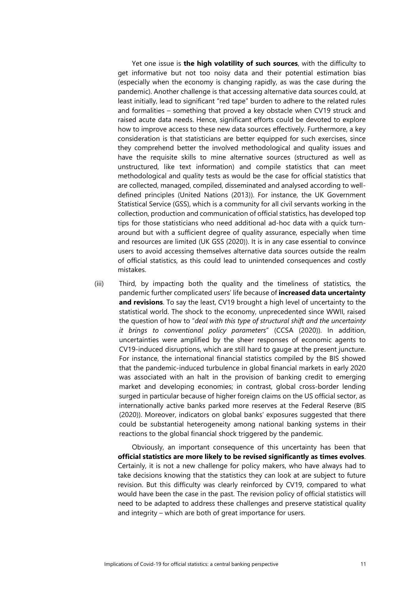Yet one issue is **the high volatility of such sources**, with the difficulty to get informative but not too noisy data and their potential estimation bias (especially when the economy is changing rapidly, as was the case during the pandemic). Another challenge is that accessing alternative data sources could, at least initially, lead to significant "red tape" burden to adhere to the related rules and formalities – something that proved a key obstacle when CV19 struck and raised acute data needs. Hence, significant efforts could be devoted to explore how to improve access to these new data sources effectively. Furthermore, a key consideration is that statisticians are better equipped for such exercises, since they comprehend better the involved methodological and quality issues and have the requisite skills to mine alternative sources (structured as well as unstructured, like text information) and compile statistics that can meet methodological and quality tests as would be the case for official statistics that are collected, managed, compiled, disseminated and analysed according to welldefined principles (United Nations (2013)). For instance, the UK Government Statistical Service (GSS), which is a community for all civil servants working in the collection, production and communication of official statistics, has developed top tips for those statisticians who need additional ad-hoc data with a quick turnaround but with a sufficient degree of quality assurance, especially when time and resources are limited (UK GSS (2020)). It is in any case essential to convince users to avoid accessing themselves alternative data sources outside the realm of official statistics, as this could lead to unintended consequences and costly mistakes.

(iii) Third, by impacting both the quality and the timeliness of statistics, the pandemic further complicated users' life because of **increased data uncertainty and revisions**. To say the least, CV19 brought a high level of uncertainty to the statistical world. The shock to the economy, unprecedented since WWII, raised the question of how to "*deal with this type of structural shift and the uncertainty it brings to conventional policy parameters*" (CCSA (2020)). In addition, uncertainties were amplified by the sheer responses of economic agents to CV19-induced disruptions, which are still hard to gauge at the present juncture. For instance, the international financial statistics compiled by the BIS showed that the pandemic-induced turbulence in global financial markets in early 2020 was associated with an halt in the provision of banking credit to emerging market and developing economies; in contrast, global cross-border lending surged in particular because of higher foreign claims on the US [official sector,](https://stats.bis.org/statx/srs/tseries/CBS_PUB/Q:S:5A:4R:U:C:A:A:TO1:A:US?t=B4&p=20201&m=S&c=US&x=L_CP_SECTOR.9.CL_L_SECTOR.A:O&o=w:20101.20201) as internationally active banks parked more reserves at the Federal Reserve (BIS (2020)). Moreover, indicators on global banks' exposures suggested that there could be substantial heterogeneity among national banking systems in their reactions to the global financial shock triggered by the pandemic.

Obviously, an important consequence of this uncertainty has been that **official statistics are more likely to be revised significantly as times evolves**. Certainly, it is not a new challenge for policy makers, who have always had to take decisions knowing that the statistics they can look at are subject to future revision. But this difficulty was clearly reinforced by CV19, compared to what would have been the case in the past. The revision policy of official statistics will need to be adapted to address these challenges and preserve statistical quality and integrity – which are both of great importance for users.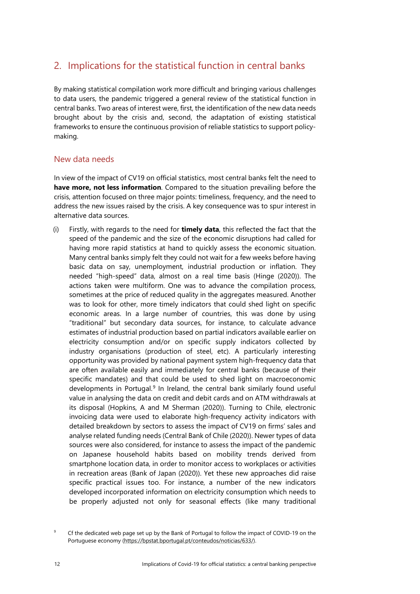### <span id="page-13-0"></span>2. Implications for the statistical function in central banks

By making statistical compilation work more difficult and bringing various challenges to data users, the pandemic triggered a general review of the statistical function in central banks. Two areas of interest were, first, the identification of the new data needs brought about by the crisis and, second, the adaptation of existing statistical frameworks to ensure the continuous provision of reliable statistics to support policymaking.

#### <span id="page-13-1"></span>New data needs

In view of the impact of CV19 on official statistics, most central banks felt the need to **have more, not less information**. Compared to the situation prevailing before the crisis, attention focused on three major points: timeliness, frequency, and the need to address the new issues raised by the crisis. A key consequence was to spur interest in alternative data sources.

(i) Firstly, with regards to the need for **timely data**, this reflected the fact that the speed of the pandemic and the size of the economic disruptions had called for having more rapid statistics at hand to quickly assess the economic situation. Many central banks simply felt they could not wait for a few weeks before having basic data on say, unemployment, industrial production or inflation. They needed "high-speed" data, almost on a real time basis (Hinge (2020)). The actions taken were multiform. One was to advance the compilation process, sometimes at the price of reduced quality in the aggregates measured. Another was to look for other, more timely indicators that could shed light on specific economic areas. In a large number of countries, this was done by using "traditional" but secondary data sources, for instance, to calculate advance estimates of industrial production based on partial indicators available earlier on electricity consumption and/or on specific supply indicators collected by industry organisations (production of steel, etc). A particularly interesting opportunity was provided by national payment system high-frequency data that are often available easily and immediately for central banks (because of their specific mandates) and that could be used to shed light on macroeconomic developments in Portugal.<sup>[9](#page-13-2)</sup> In Ireland, the central bank similarly found useful value in analysing the data on credit and debit cards and on ATM withdrawals at its disposal (Hopkins, A and M Sherman (2020)). Turning to Chile, electronic invoicing data were used to elaborate high-frequency activity indicators with detailed breakdown by sectors to assess the impact of CV19 on firms' sales and analyse related funding needs (Central Bank of Chile (2020)). Newer types of data sources were also considered, for instance to assess the impact of the pandemic on Japanese household habits based on mobility trends derived from smartphone location data, in order to monitor access to workplaces or activities in recreation areas (Bank of Japan (2020)). Yet these new approaches did raise specific practical issues too. For instance, a number of the new indicators developed incorporated information on electricity consumption which needs to be properly adjusted not only for seasonal effects (like many traditional

<span id="page-13-2"></span>

<sup>&</sup>lt;sup>9</sup> Cf the dedicated web page set up by the Bank of Portugal to follow the impact of COVID-19 on the Portuguese economy [\(https://bpstat.bportugal.pt/conteudos/noticias/633/\).](https://bpstat.bportugal.pt/conteudos/noticias/633/)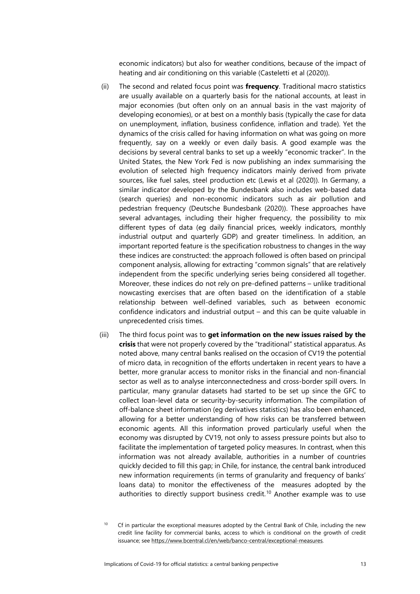economic indicators) but also for weather conditions, because of the impact of heating and air conditioning on this variable (Casteletti et al (2020)).

- (ii) The second and related focus point was **frequency**. Traditional macro statistics are usually available on a quarterly basis for the national accounts, at least in major economies (but often only on an annual basis in the vast majority of developing economies), or at best on a monthly basis (typically the case for data on unemployment, inflation, business confidence, inflation and trade). Yet the dynamics of the crisis called for having information on what was going on more frequently, say on a weekly or even daily basis. A good example was the decisions by several central banks to set up a weekly "economic tracker". In the United States, the New York Fed is now publishing an index summarising the evolution of selected high frequency indicators mainly derived from private sources, like fuel sales, steel production etc (Lewis et al (2020)). In Germany, a similar indicator developed by the Bundesbank also includes web-based data (search queries) and non-economic indicators such as air pollution and pedestrian frequency (Deutsche Bundesbank (2020)). These approaches have several advantages, including their higher frequency, the possibility to mix different types of data (eg daily financial prices, weekly indicators, monthly industrial output and quarterly GDP) and greater timeliness. In addition, an important reported feature is the specification robustness to changes in the way these indices are constructed: the approach followed is often based on principal component analysis, allowing for extracting "common signals" that are relatively independent from the specific underlying series being considered all together. Moreover, these indices do not rely on pre-defined patterns – unlike traditional nowcasting exercises that are often based on the identification of a stable relationship between well-defined variables, such as between economic confidence indicators and industrial output – and this can be quite valuable in unprecedented crisis times.
- (iii) The third focus point was to **get information on the new issues raised by the crisis** that were not properly covered by the "traditional" statistical apparatus. As noted above, many central banks realised on the occasion of CV19 the potential of micro data, in recognition of the efforts undertaken in recent years to have a better, more granular access to monitor risks in the financial and non-financial sector as well as to analyse interconnectedness and cross-border spill overs. In particular, many granular datasets had started to be set up since the GFC to collect loan-level data or security-by-security information. The compilation of off-balance sheet information (eg derivatives statistics) has also been enhanced, allowing for a better understanding of how risks can be transferred between economic agents. All this information proved particularly useful when the economy was disrupted by CV19, not only to assess pressure points but also to facilitate the implementation of targeted policy measures. In contrast, when this information was not already available, authorities in a number of countries quickly decided to fill this gap; in Chile, for instance, the central bank introduced new information requirements (in terms of granularity and frequency of banks' loans data) to monitor the effectiveness of the measures adopted by the authorities to directly support business credit. [10](#page-14-0) Another example was to use

<span id="page-14-0"></span><sup>&</sup>lt;sup>10</sup> Cf in particular the exceptional measures adopted by the Central Bank of Chile, including the new credit line facility for commercial banks, access to which is conditional on the growth of credit issuance; see [https://www.bcentral.cl/en/web/banco-central/exceptional-measures.](https://www.bcentral.cl/en/web/banco-central/exceptional-measures)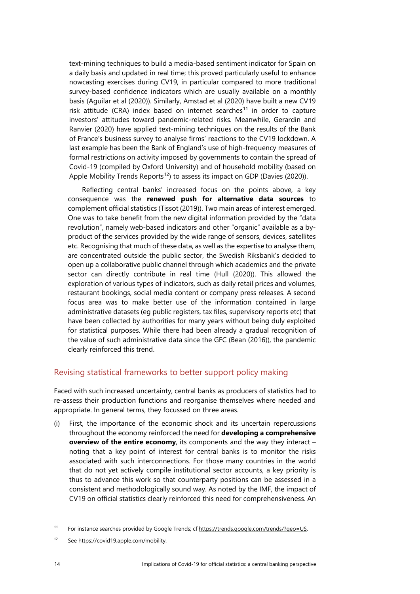text-mining techniques to build a media-based sentiment indicator for Spain on a daily basis and updated in real time; this proved particularly useful to enhance nowcasting exercises during CV19, in particular compared to more traditional survey-based confidence indicators which are usually available on a monthly basis (Aguilar et al (2020)). Similarly, Amstad et al (2020) have built a new CV19 risk attitude (CRA) index based on internet searches<sup>[11](#page-15-1)</sup> in order to capture investors' attitudes toward pandemic-related risks. Meanwhile, Gerardin and Ranvier (2020) have applied text-mining techniques on the results of the Bank of France's business survey to analyse firms' reactions to the CV19 lockdown. A last example has been the Bank of England's use of high-frequency measures of formal restrictions on activity imposed by governments to contain the spread of Covid-19 (compiled by Oxford University) and of household mobility (based on Apple Mobility Trends Reports<sup>12</sup>) to assess its impact on GDP (Davies (2020)).

Reflecting central banks' increased focus on the points above, a key consequence was the **renewed push for alternative data sources** to complement official statistics (Tissot (2019)). Two main areas of interest emerged. One was to take benefit from the new digital information provided by the "data revolution", namely web-based indicators and other "organic" available as a byproduct of the services provided by the wide range of sensors, devices, satellites etc. Recognising that much of these data, as well as the expertise to analyse them, are concentrated outside the public sector, the Swedish Riksbank's decided to open up a collaborative public channel through which academics and the private sector can directly contribute in real time (Hull (2020)). This allowed the exploration of various types of indicators, such as daily retail prices and volumes, restaurant bookings, social media content or company press releases. A second focus area was to make better use of the information contained in large administrative datasets (eg public registers, tax files, supervisory reports etc) that have been collected by authorities for many years without being duly exploited for statistical purposes. While there had been already a gradual recognition of the value of such administrative data since the GFC (Bean (2016)), the pandemic clearly reinforced this trend.

#### <span id="page-15-0"></span>Revising statistical frameworks to better support policy making

Faced with such increased uncertainty, central banks as producers of statistics had to re-assess their production functions and reorganise themselves where needed and appropriate. In general terms, they focussed on three areas.

(i) First, the importance of the economic shock and its uncertain repercussions throughout the economy reinforced the need for **developing a comprehensive overview of the entire economy**, its components and the way they interact – noting that a key point of interest for central banks is to monitor the risks associated with such interconnections. For those many countries in the world that do not yet actively compile institutional sector accounts, a key priority is thus to advance this work so that counterparty positions can be assessed in a consistent and methodologically sound way. As noted by the IMF, the impact of CV19 on official statistics clearly reinforced this need for comprehensiveness. An

<span id="page-15-1"></span><sup>11</sup> For instance searches provided by Google Trends; cf [https://trends.google.com/trends/?geo=US.](https://trends.google.com/trends/?geo=US)

<span id="page-15-2"></span><sup>12</sup> Se[e https://covid19.apple.com/mobility.](https://covid19.apple.com/mobility)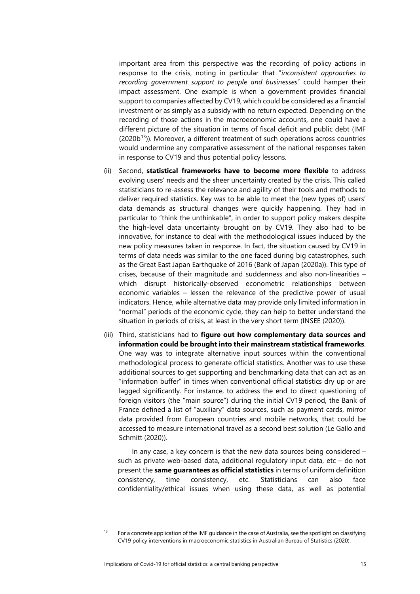important area from this perspective was the recording of policy actions in response to the crisis, noting in particular that "*inconsistent approaches to recording government support to people and businesses*" could hamper their impact assessment. One example is when a government provides financial support to companies affected by CV19, which could be considered as a financial investment or as simply as a subsidy with no return expected. Depending on the recording of those actions in the macroeconomic accounts, one could have a different picture of the situation in terms of fiscal deficit and public debt (IMF  $(2020b<sup>13</sup>)$ ). Moreover, a different treatment of such operations across countries would undermine any comparative assessment of the national responses taken in response to CV19 and thus potential policy lessons.

- (ii) Second, **statistical frameworks have to become more flexible** to address evolving users' needs and the sheer uncertainty created by the crisis. This called statisticians to re-assess the relevance and agility of their tools and methods to deliver required statistics. Key was to be able to meet the (new types of) users' data demands as structural changes were quickly happening. They had in particular to "think the unthinkable", in order to support policy makers despite the high-level data uncertainty brought on by CV19. They also had to be innovative, for instance to deal with the methodological issues induced by the new policy measures taken in response. In fact, the situation caused by CV19 in terms of data needs was similar to the one faced during big catastrophes, such as the Great East Japan Earthquake of 2016 (Bank of Japan (2020a)). This type of crises, because of their magnitude and suddenness and also non-linearities – which disrupt historically-observed econometric relationships between economic variables – lessen the relevance of the predictive power of usual indicators. Hence, while alternative data may provide only limited information in "normal" periods of the economic cycle, they can help to better understand the situation in periods of crisis, at least in the very short term (INSEE (2020)).
- (iii) Third, statisticians had to **figure out how complementary data sources and information could be brought into their mainstream statistical frameworks**. One way was to integrate alternative input sources within the conventional methodological process to generate official statistics. Another was to use these additional sources to get supporting and benchmarking data that can act as an "information buffer" in times when conventional official statistics dry up or are lagged significantly. For instance, to address the end to direct questioning of foreign visitors (the "main source") during the initial CV19 period, the Bank of France defined a list of "auxiliary" data sources, such as payment cards, mirror data provided from European countries and mobile networks, that could be accessed to measure international travel as a second best solution (Le Gallo and Schmitt (2020)).

In any case, a key concern is that the new data sources being considered – such as private web-based data, additional regulatory input data, etc – do not present the **same guarantees as official statistics** in terms of uniform definition consistency, time consistency, etc. Statisticians can also face confidentiality/ethical issues when using these data, as well as potential

<span id="page-16-0"></span><sup>&</sup>lt;sup>13</sup> For a concrete application of the IMF guidance in the case of Australia, see the spotlight on classifying CV19 policy interventions in macroeconomic statistics in Australian Bureau of Statistics (2020).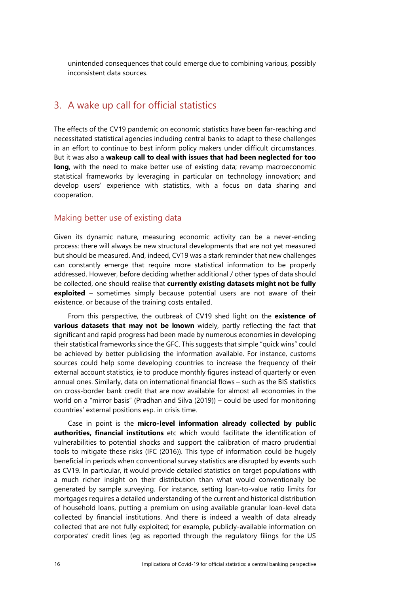unintended consequences that could emerge due to combining various, possibly inconsistent data sources.

### <span id="page-17-0"></span>3. A wake up call for official statistics

The effects of the CV19 pandemic on economic statistics have been far-reaching and necessitated statistical agencies including central banks to adapt to these challenges in an effort to continue to best inform policy makers under difficult circumstances. But it was also a **wakeup call to deal with issues that had been neglected for too long**, with the need to make better use of existing data; revamp macroeconomic statistical frameworks by leveraging in particular on technology innovation; and develop users' experience with statistics, with a focus on data sharing and cooperation.

#### <span id="page-17-1"></span>Making better use of existing data

Given its dynamic nature, measuring economic activity can be a never-ending process: there will always be new structural developments that are not yet measured but should be measured. And, indeed, CV19 was a stark reminder that new challenges can constantly emerge that require more statistical information to be properly addressed. However, before deciding whether additional / other types of data should be collected, one should realise that **currently existing datasets might not be fully exploited** – sometimes simply because potential users are not aware of their existence, or because of the training costs entailed.

From this perspective, the outbreak of CV19 shed light on the **existence of various datasets that may not be known** widely, partly reflecting the fact that significant and rapid progress had been made by numerous economies in developing their statistical frameworks since the GFC. This suggests that simple "quick wins" could be achieved by better publicising the information available. For instance, customs sources could help some developing countries to increase the frequency of their external account statistics, ie to produce monthly figures instead of quarterly or even annual ones. Similarly, data on international financial flows – such as the BIS statistics on cross-border bank credit that are now available for almost all economies in the world on a "mirror basis" (Pradhan and Silva (2019)) – could be used for monitoring countries' external positions esp. in crisis time.

Case in point is the **micro-level information already collected by public authorities, financial institutions** etc which would facilitate the identification of vulnerabilities to potential shocks and support the calibration of macro prudential tools to mitigate these risks (IFC (2016)). This type of information could be hugely beneficial in periods when conventional survey statistics are disrupted by events such as CV19. In particular, it would provide detailed statistics on target populations with a much richer insight on their distribution than what would conventionally be generated by sample surveying. For instance, setting loan-to-value ratio limits for mortgages requires a detailed understanding of the current and historical distribution of household loans, putting a premium on using available granular loan-level data collected by financial institutions. And there is indeed a wealth of data already collected that are not fully exploited; for example, publicly-available information on corporates' credit lines (eg as reported through the regulatory filings for the US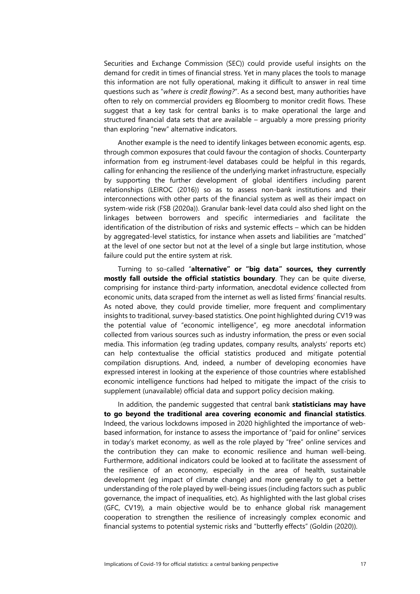Securities and Exchange Commission (SEC)) could provide useful insights on the demand for credit in times of financial stress. Yet in many places the tools to manage this information are not fully operational, making it difficult to answer in real time questions such as "*where is credit flowing?*". As a second best, many authorities have often to rely on commercial providers eg Bloomberg to monitor credit flows. These suggest that a key task for central banks is to make operational the large and structured financial data sets that are available – arguably a more pressing priority than exploring "new" alternative indicators.

Another example is the need to identify linkages between economic agents, esp. through common exposures that could favour the contagion of shocks. Counterparty information from eg instrument-level databases could be helpful in this regards, calling for enhancing the resilience of the underlying market infrastructure, especially by supporting the further development of global identifiers including parent relationships (LEIROC (2016)) so as to assess non-bank institutions and their interconnections with other parts of the financial system as well as their impact on system-wide risk (FSB (2020a)). Granular bank-level data could also shed light on the linkages between borrowers and specific intermediaries and facilitate the identification of the distribution of risks and systemic effects – which can be hidden by aggregated-level statistics, for instance when assets and liabilities are "matched" at the level of one sector but not at the level of a single but large institution, whose failure could put the entire system at risk.

Turning to so-called "**alternative" or "big data" sources, they currently mostly fall outside the official statistics boundary**. They can be quite diverse, comprising for instance third-party information, anecdotal evidence collected from economic units, data scraped from the internet as well as listed firms' financial results. As noted above, they could provide timelier, more frequent and complimentary insights to traditional, survey-based statistics. One point highlighted during CV19 was the potential value of "economic intelligence", eg more anecdotal information collected from various sources such as industry information, the press or even social media. This information (eg trading updates, company results, analysts' reports etc) can help contextualise the official statistics produced and mitigate potential compilation disruptions. And, indeed, a number of developing economies have expressed interest in looking at the experience of those countries where established economic intelligence functions had helped to mitigate the impact of the crisis to supplement (unavailable) official data and support policy decision making.

In addition, the pandemic suggested that central bank **statisticians may have to go beyond the traditional area covering economic and financial statistics**. Indeed, the various lockdowns imposed in 2020 highlighted the importance of webbased information, for instance to assess the importance of "paid for online" services in today's market economy, as well as the role played by "free" online services and the contribution they can make to economic resilience and human well-being. Furthermore, additional indicators could be looked at to facilitate the assessment of the resilience of an economy, especially in the area of health, sustainable development (eg impact of climate change) and more generally to get a better understanding of the role played by well-being issues (including factors such as public governance, the impact of inequalities, etc). As highlighted with the last global crises (GFC, CV19), a main objective would be to enhance global risk management cooperation to strengthen the resilience of increasingly complex economic and financial systems to potential systemic risks and "butterfly effects" (Goldin (2020)).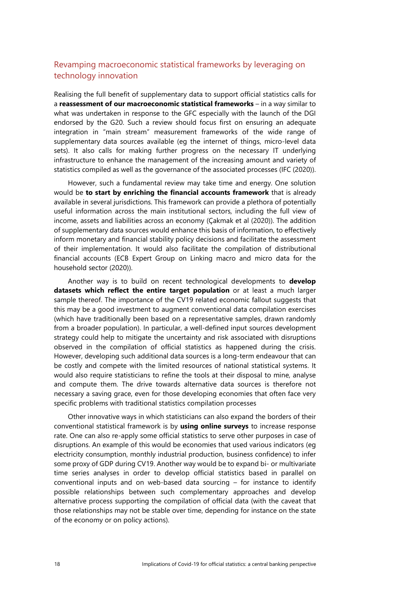#### <span id="page-19-0"></span>Revamping macroeconomic statistical frameworks by leveraging on technology innovation

Realising the full benefit of supplementary data to support official statistics calls for a **reassessment of our macroeconomic statistical frameworks** – in a way similar to what was undertaken in response to the GFC especially with the launch of the DGI endorsed by the G20. Such a review should focus first on ensuring an adequate integration in "main stream" measurement frameworks of the wide range of supplementary data sources available (eg the internet of things, micro-level data sets). It also calls for making further progress on the necessary IT underlying infrastructure to enhance the management of the increasing amount and variety of statistics compiled as well as the governance of the associated processes (IFC (2020)).

However, such a fundamental review may take time and energy. One solution would be **to start by enriching the financial accounts framework** that is already available in several jurisdictions. This framework can provide a plethora of potentially useful information across the main institutional sectors, including the full view of income, assets and liabilities across an economy (Çakmak et al (2020)). The addition of supplementary data sources would enhance this basis of information, to effectively inform monetary and financial stability policy decisions and facilitate the assessment of their implementation. It would also facilitate the compilation of distributional financial accounts (ECB Expert Group on Linking macro and micro data for the household sector (2020)).

Another way is to build on recent technological developments to **develop datasets which reflect the entire target population** or at least a much larger sample thereof. The importance of the CV19 related economic fallout suggests that this may be a good investment to augment conventional data compilation exercises (which have traditionally been based on a representative samples, drawn randomly from a broader population). In particular, a well-defined input sources development strategy could help to mitigate the uncertainty and risk associated with disruptions observed in the compilation of official statistics as happened during the crisis. However, developing such additional data sources is a long-term endeavour that can be costly and compete with the limited resources of national statistical systems. It would also require statisticians to refine the tools at their disposal to mine, analyse and compute them. The drive towards alternative data sources is therefore not necessary a saving grace, even for those developing economies that often face very specific problems with traditional statistics compilation processes

Other innovative ways in which statisticians can also expand the borders of their conventional statistical framework is by **using online surveys** to increase response rate. One can also re-apply some official statistics to serve other purposes in case of disruptions. An example of this would be economies that used various indicators (eg electricity consumption, monthly industrial production, business confidence) to infer some proxy of GDP during CV19. Another way would be to expand bi- or multivariate time series analyses in order to develop official statistics based in parallel on conventional inputs and on web-based data sourcing – for instance to identify possible relationships between such complementary approaches and develop alternative process supporting the compilation of official data (with the caveat that those relationships may not be stable over time, depending for instance on the state of the economy or on policy actions).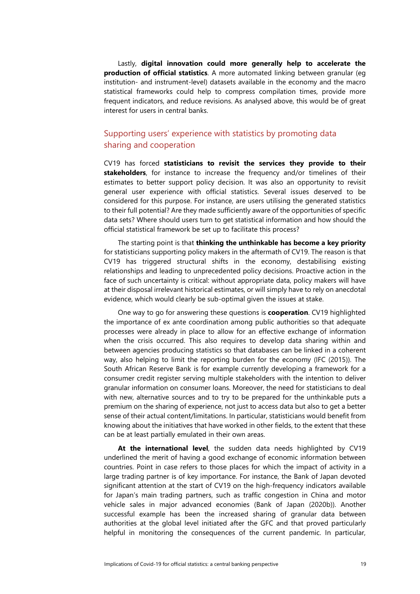Lastly, **digital innovation could more generally help to accelerate the production of official statistics**. A more automated linking between granular (eg institution- and instrument-level) datasets available in the economy and the macro statistical frameworks could help to compress compilation times, provide more frequent indicators, and reduce revisions. As analysed above, this would be of great interest for users in central banks.

#### <span id="page-20-0"></span>Supporting users' experience with statistics by promoting data sharing and cooperation

CV19 has forced **statisticians to revisit the services they provide to their stakeholders**, for instance to increase the frequency and/or timelines of their estimates to better support policy decision. It was also an opportunity to revisit general user experience with official statistics. Several issues deserved to be considered for this purpose. For instance, are users utilising the generated statistics to their full potential? Are they made sufficiently aware of the opportunities of specific data sets? Where should users turn to get statistical information and how should the official statistical framework be set up to facilitate this process?

The starting point is that **thinking the unthinkable has become a key priority** for statisticians supporting policy makers in the aftermath of CV19. The reason is that CV19 has triggered structural shifts in the economy, destabilising existing relationships and leading to unprecedented policy decisions. Proactive action in the face of such uncertainty is critical: without appropriate data, policy makers will have at their disposal irrelevant historical estimates, or will simply have to rely on anecdotal evidence, which would clearly be sub-optimal given the issues at stake.

One way to go for answering these questions is **cooperation**. CV19 highlighted the importance of ex ante coordination among public authorities so that adequate processes were already in place to allow for an effective exchange of information when the crisis occurred. This also requires to develop data sharing within and between agencies producing statistics so that databases can be linked in a coherent way, also helping to limit the reporting burden for the economy (IFC (2015)). The South African Reserve Bank is for example currently developing a framework for a consumer credit register serving multiple stakeholders with the intention to deliver granular information on consumer loans. Moreover, the need for statisticians to deal with new, alternative sources and to try to be prepared for the unthinkable puts a premium on the sharing of experience, not just to access data but also to get a better sense of their actual content/limitations. In particular, statisticians would benefit from knowing about the initiatives that have worked in other fields, to the extent that these can be at least partially emulated in their own areas.

**At the international level**, the sudden data needs highlighted by CV19 underlined the merit of having a good exchange of economic information between countries. Point in case refers to those places for which the impact of activity in a large trading partner is of key importance. For instance, the Bank of Japan devoted significant attention at the start of CV19 on the high-frequency indicators available for Japan's main trading partners, such as traffic congestion in China and motor vehicle sales in major advanced economies (Bank of Japan (2020b)). Another successful example has been the increased sharing of granular data between authorities at the global level initiated after the GFC and that proved particularly helpful in monitoring the consequences of the current pandemic. In particular,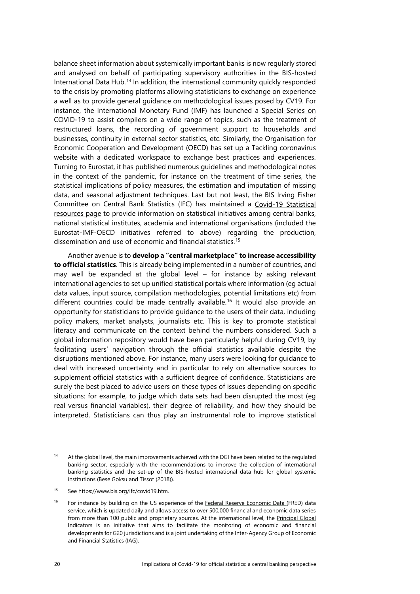balance sheet information about systemically important banks is now regularly stored and analysed on behalf of participating supervisory authorities in the BIS-hosted International Data Hub.[14](#page-21-0) In addition, the international community quickly responded to the crisis by promoting platforms allowing statisticians to exchange on experience a well as to provide general guidance on methodological issues posed by CV19. For instance, the International Monetary Fund (IMF) has launched a [Special Series on](https://www.imf.org/en/Publications/SPROLLs/covid19-special-notes#STA)  [COVID-19](https://www.imf.org/en/Publications/SPROLLs/covid19-special-notes#STA) to assist compilers on a wide range of topics, such as the treatment of restructured loans, the recording of government support to households and businesses, continuity in external sector statistics, etc. Similarly, the Organisation for Economic Cooperation and Development (OECD) has set up a [Tackling coronavirus](https://www.oecd.org/coronavirus/en/) website with a dedicated workspace to exchange best practices and experiences. Turning to Eurostat, it has published numerous guidelines and methodological notes in the context of the pandemic, for instance on the treatment of time series, the statistical implications of policy measures, the estimation and imputation of missing data, and seasonal adjustment techniques. Last but not least, the BIS Irving Fisher Committee on Central Bank Statistics (IFC) has maintained a [Covid-19 Statistical](https://www.bis.org/ifc/covid19.htm)  [resources page](https://www.bis.org/ifc/covid19.htm) to provide information on statistical initiatives among central banks, national statistical institutes, academia and international organisations (included the Eurostat-IMF-OECD initiatives referred to above) regarding the production, dissemination and use of economic and financial statistics. [15](#page-21-1)

Another avenue is to **develop a "central marketplace" to increase accessibility to official statistics**. This is already being implemented in a number of countries, and may well be expanded at the global level – for instance by asking relevant international agencies to set up unified statistical portals where information (eg actual data values, input source, compilation methodologies, potential limitations etc) from different countries could be made centrally available. [16](#page-21-2) It would also provide an opportunity for statisticians to provide guidance to the users of their data, including policy makers, market analysts, journalists etc. This is key to promote statistical literacy and communicate on the context behind the numbers considered. Such a global information repository would have been particularly helpful during CV19, by facilitating users' navigation through the official statistics available despite the disruptions mentioned above. For instance, many users were looking for guidance to deal with increased uncertainty and in particular to rely on alternative sources to supplement official statistics with a sufficient degree of confidence. Statisticians are surely the best placed to advice users on these types of issues depending on specific situations: for example, to judge which data sets had been disrupted the most (eg real versus financial variables), their degree of reliability, and how they should be interpreted. Statisticians can thus play an instrumental role to improve statistical

<span id="page-21-1"></span><sup>15</sup> Se[e https://www.bis.org/ifc/covid19.htm.](https://www.bis.org/ifc/covid19.htm)

<span id="page-21-2"></span><sup>16</sup> For instance by building on the US experience of the [Federal Reserve Economic Data \(FRED\)](https://fred.stlouisfed.org/) data service, which is updated daily and allows access to over 500,000 financial and economic data series from more than 100 public and proprietary sources. At the international level, the Principal Global [Indicators](https://www.principalglobalindicators.org/?sk=E30FAADE-77D0-4F8E-953C-C48DD9D14735) is an initiative that aims to facilitate the monitoring of economic and financial developments for G20 jurisdictions and is a joint undertaking of the Inter-Agency Group of Economic and Financial Statistics (IAG).

<span id="page-21-0"></span><sup>&</sup>lt;sup>14</sup> At the global level, the main improvements achieved with the DGI have been related to the regulated banking sector, especially with the recommendations to improve the collection of international banking statistics and the set-up of the BIS-hosted international data hub for global systemic institutions (Bese Goksu and Tissot (2018)).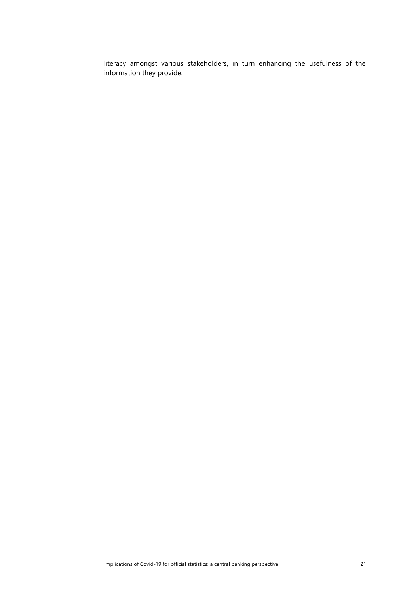literacy amongst various stakeholders, in turn enhancing the usefulness of the information they provide.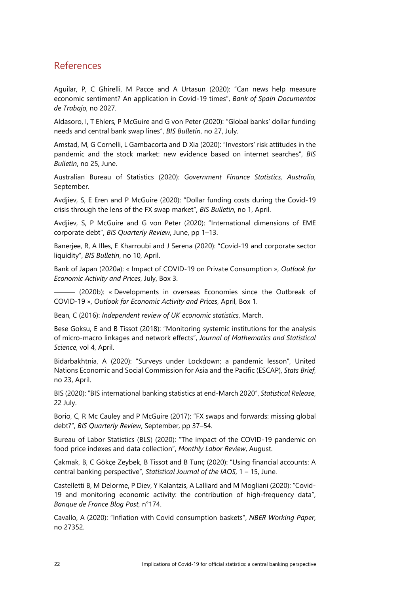### <span id="page-23-0"></span>References

Aguilar, P, C Ghirelli, M Pacce and A Urtasun (2020): "Can news help measure economic sentiment? An application in Covid-19 times", *Bank of Spain Documentos de Trabajo*, no 2027.

Aldasoro, I, T Ehlers, P McGuire and G von Peter (2020): "Global banks' dollar funding needs and central bank swap lines", *BIS Bulletin*, no 27, July.

Amstad, M, G Cornelli, L Gambacorta and D Xia (2020): "Investors' risk attitudes in the pandemic and the stock market: new evidence based on internet searches", *BIS Bulletin*, no 25, June.

Australian Bureau of Statistics (2020): *Government Finance Statistics, Australia*, September.

Avdjiev, S, E Eren and P McGuire (2020): "Dollar funding costs during the Covid-19 crisis through the lens of the FX swap market", *BIS Bulletin*, no 1, April.

Avdjiev, S, P McGuire and G von Peter (2020): "International dimensions of EME corporate debt", *BIS Quarterly Review*, June, pp 1–13.

Banerjee, R, A Illes, E Kharroubi and J Serena (2020): "Covid-19 and corporate sector liquidity", *BIS Bulletin*, no 10, April.

Bank of Japan (2020a): « Impact of COVID-19 on Private Consumption », *Outlook for Economic Activity and Prices*, July, Box 3.

——— (2020b): « Developments in overseas Economies since the Outbreak of COVID-19 », *Outlook for Economic Activity and Prices*, April, Box 1.

Bean, C (2016): *Independent review of UK economic statistics*, March.

Bese Goksu, E and B Tissot (2018): "Monitoring systemic institutions for the analysis of micro-macro linkages and network effects", *Journal of Mathematics and Statistical Science*, vol 4, April.

Bidarbakhtnia, A (2020): "Surveys under Lockdown; a pandemic lesson", United Nations Economic and Social Commission for Asia and the Pacific (ESCAP), *Stats Brief*, no 23, April.

BIS (2020): "BIS international banking statistics at end-March 2020", *Statistical Release*, 22 July.

Borio, C, R Mc Cauley and P McGuire (2017): "FX swaps and forwards: missing global debt?", *BIS Quarterly Review*, September, pp 37–54.

Bureau of Labor Statistics (BLS) (2020): "The impact of the COVID-19 pandemic on food price indexes and data collection", *Monthly Labor Review*, August.

Çakmak, B, C Gökçe Zeybek, B Tissot and B Tunç (2020): "Using financial accounts: A central banking perspective", *Statistical Journal of the IAOS*, 1 – 15, June.

Castelletti B, M Delorme, P Diev, Y Kalantzis, A Lalliard and M Mogliani (2020): "Covid-19 and monitoring economic activity: the contribution of high-frequency data", *Banque de France Blog Post*, n°174.

Cavallo, A (2020): "Inflation with Covid consumption baskets", *NBER Working Paper*, no 27352.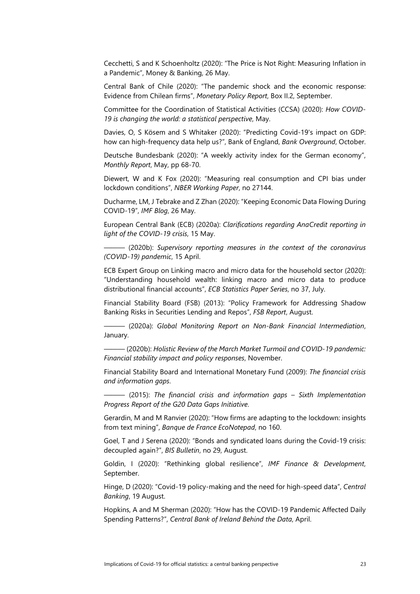Cecchetti, S and K Schoenholtz (2020): "The Price is Not Right: Measuring Inflation in a Pandemic", Money & Banking, 26 May.

Central Bank of Chile (2020): "The pandemic shock and the economic response: Evidence from Chilean firms", *Monetary Policy Report*, Box II.2, September.

Committee for the Coordination of Statistical Activities (CCSA) (2020): *How COVID-19 is changing the world: a statistical perspective*, May.

Davies, O, S Kösem and S Whitaker (2020): "Predicting Covid-19's impact on GDP: how can high-frequency data help us?", Bank of England, *Bank Overground*, October.

Deutsche Bundesbank (2020): "A weekly activity index for the German economy", *Monthly Report*, May, pp 68-70.

Diewert, W and K Fox (2020): "Measuring real consumption and CPI bias under lockdown conditions", *NBER Working Paper*, no 27144.

Ducharme, LM, J Tebrake and Z Zhan (2020): "Keeping Economic Data Flowing During COVID-19", *IMF Blog*, 26 May.

European Central Bank (ECB) (2020a): *Clarifications regarding AnaCredit reporting in light of the COVID-19 crisis*, 15 May.

——— (2020b): *Supervisory reporting measures in the context of the coronavirus (COVID-19) pandemic*, 15 April.

ECB Expert Group on Linking macro and micro data for the household sector (2020): "Understanding household wealth: linking macro and micro data to produce distributional financial accounts", *ECB Statistics Paper Series*, no 37, July.

Financial Stability Board (FSB) (2013): "Policy Framework for Addressing Shadow Banking Risks in Securities Lending and Repos", *FSB Report*, August.

——— (2020a): *Global Monitoring Report on Non-Bank Financial Intermediation*, January.

——— (2020b): *Holistic Review of the March Market Turmoil and COVID-19 pandemic: Financial stability impact and policy responses*, November.

Financial Stability Board and International Monetary Fund (2009): *The financial crisis and information gaps*.

——— (2015): *The financial crisis and information gaps – Sixth Implementation Progress Report of the G20 Data Gaps Initiative*.

Gerardin, M and M Ranvier (2020): "How firms are adapting to the lockdown: insights from text mining", *Banque de France EcoNotepad*, no 160.

Goel, T and J Serena (2020): "Bonds and syndicated loans during the Covid-19 crisis: decoupled again?", *BIS Bulletin*, no 29, August.

Goldin, I (2020): "Rethinking global resilience", *IMF Finance & Development*, September.

Hinge, D (2020): "Covid-19 policy-making and the need for high-speed data", *Central Banking*, 19 August.

Hopkins, A and M Sherman (2020): "How has the COVID-19 Pandemic Affected Daily Spending Patterns?", *Central Bank of Ireland Behind the Data*, April.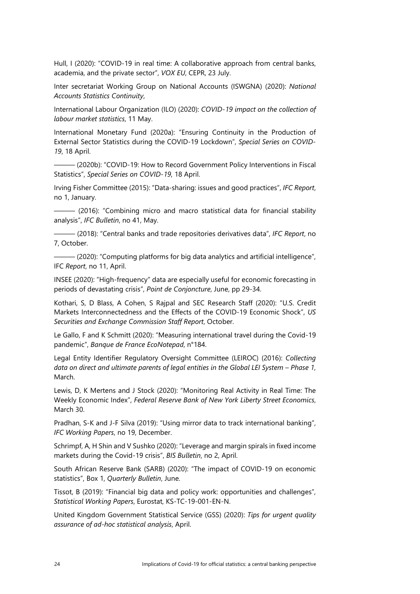Hull, I (2020): "COVID-19 in real time: A collaborative approach from central banks, academia, and the private sector", *VOX EU*, CEPR, 23 July.

Inter secretariat Working Group on National Accounts (ISWGNA) (2020): *National Accounts Statistics Continuity*,

International Labour Organization (ILO) (2020): *COVID-19 impact on the collection of labour market statistics*, 11 May.

International Monetary Fund (2020a): "Ensuring Continuity in the Production of External Sector Statistics during the COVID-19 Lockdown", *Special Series on COVID-19*, 18 April.

——— (2020b): "COVID-19: How to Record Government Policy Interventions in Fiscal Statistics", *Special Series on COVID-19*, 18 April.

Irving Fisher Committee (2015): "Data-sharing: issues and good practices", *IFC Report*, no 1, January.

——— (2016): "Combining micro and macro statistical data for financial stability analysis", *IFC Bulletin*, no 41, May.

——— (2018): "Central banks and trade repositories derivatives data", *IFC Report*, no 7, October.

——— (2020): "Computing platforms for big data analytics and artificial intelligence", IFC *Report*, no 11, April.

INSEE (2020): "High-frequency" data are especially useful for economic forecasting in periods of devastating crisis", *Point de Conjoncture*, June, pp 29-34.

Kothari, S, D Blass, A Cohen, S Rajpal and SEC Research Staff (2020): "U.S. Credit Markets Interconnectedness and the Effects of the COVID-19 Economic Shock", *US Securities and Exchange Commission Staff Report*, October.

Le Gallo, F and K Schmitt (2020): "Measuring international travel during the Covid-19 pandemic", *Banque de France EcoNotepad*, n°184.

Legal Entity Identifier Regulatory Oversight Committee (LEIROC) (2016): *Collecting data on direct and ultimate parents of legal entities in the Global LEI System – Phase 1*, March.

Lewis, D, K Mertens and J Stock (2020): "Monitoring Real Activity in Real Time: The Weekly Economic Index", *Federal Reserve Bank of New York Liberty Street Economics*, March 30.

Pradhan, S-K and J-F Silva (2019): "Using mirror data to track international banking", *IFC Working Papers*, no 19, December.

Schrimpf, A, H Shin and V Sushko (2020): "Leverage and margin spirals in fixed income markets during the Covid-19 crisis", *BIS Bulletin*, no 2, April.

South African Reserve Bank (SARB) (2020): "The impact of COVID-19 on economic statistics", Box 1, *Quarterly Bulletin*, June.

Tissot, B (2019): "Financial big data and policy work: opportunities and challenges", *Statistical Working Papers*, Eurostat, KS-TC-19-001-EN-N.

United Kingdom Government Statistical Service (GSS) (2020): *Tips for urgent quality assurance of ad-hoc statistical analysis*, April.